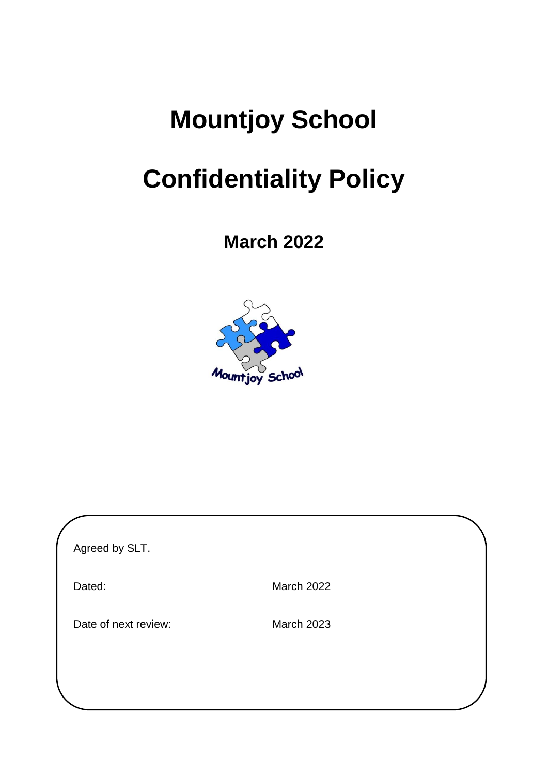# **Mountjoy School**

# **Confidentiality Policy**

**March 2022**



| Agreed by SLT.       |            |  |
|----------------------|------------|--|
| Dated:               | March 2022 |  |
| Date of next review: | March 2023 |  |
|                      |            |  |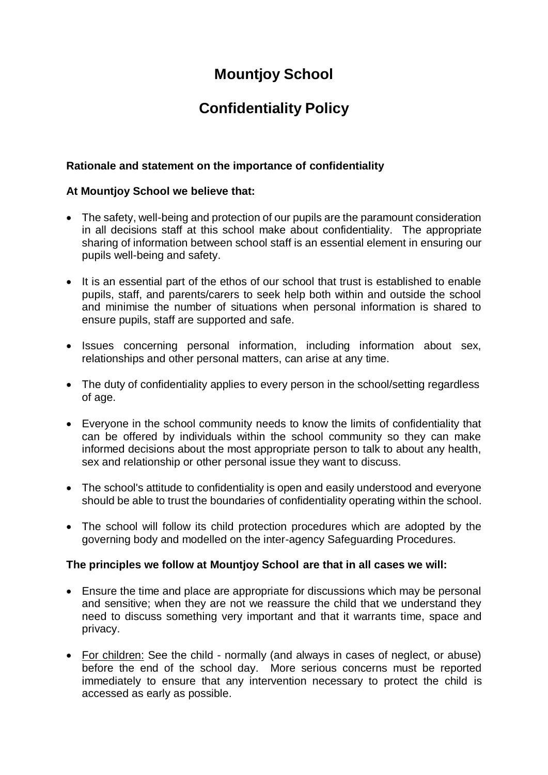# **Mountjoy School**

## **Confidentiality Policy**

### **Rationale and statement on the importance of confidentiality**

#### **At Mountjoy School we believe that:**

- The safety, well-being and protection of our pupils are the paramount consideration in all decisions staff at this school make about confidentiality. The appropriate sharing of information between school staff is an essential element in ensuring our pupils well-being and safety.
- It is an essential part of the ethos of our school that trust is established to enable pupils, staff, and parents/carers to seek help both within and outside the school and minimise the number of situations when personal information is shared to ensure pupils, staff are supported and safe.
- Issues concerning personal information, including information about sex, relationships and other personal matters, can arise at any time.
- The duty of confidentiality applies to every person in the school/setting regardless of age.
- Everyone in the school community needs to know the limits of confidentiality that can be offered by individuals within the school community so they can make informed decisions about the most appropriate person to talk to about any health, sex and relationship or other personal issue they want to discuss.
- The school's attitude to confidentiality is open and easily understood and everyone should be able to trust the boundaries of confidentiality operating within the school.
- The school will follow its child protection procedures which are adopted by the governing body and modelled on the inter-agency Safeguarding Procedures.

#### **The principles we follow at Mountjoy School are that in all cases we will:**

- Ensure the time and place are appropriate for discussions which may be personal and sensitive; when they are not we reassure the child that we understand they need to discuss something very important and that it warrants time, space and privacy.
- For children: See the child normally (and always in cases of neglect, or abuse) before the end of the school day. More serious concerns must be reported immediately to ensure that any intervention necessary to protect the child is accessed as early as possible.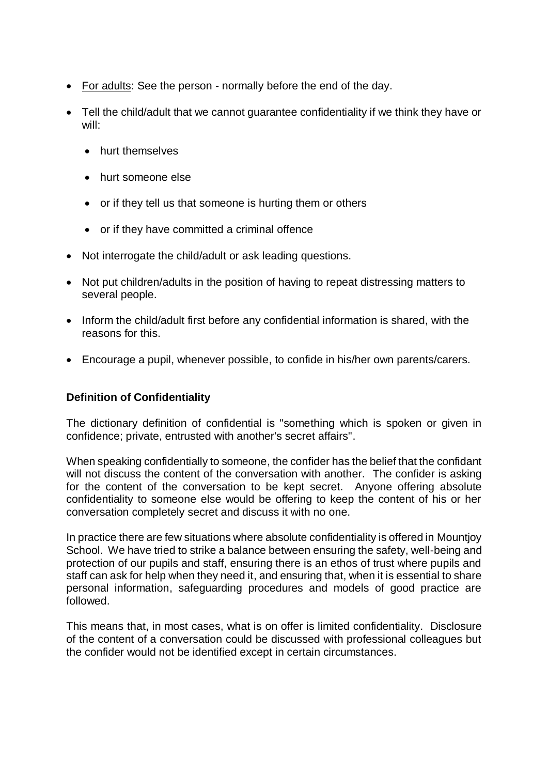- For adults: See the person normally before the end of the day.
- Tell the child/adult that we cannot guarantee confidentiality if we think they have or will:
	- **•** hurt themselves
	- hurt someone else
	- or if they tell us that someone is hurting them or others
	- or if they have committed a criminal offence
- Not interrogate the child/adult or ask leading questions.
- Not put children/adults in the position of having to repeat distressing matters to several people.
- Inform the child/adult first before any confidential information is shared, with the reasons for this.
- Encourage a pupil, whenever possible, to confide in his/her own parents/carers.

## **Definition of Confidentiality**

The dictionary definition of confidential is "something which is spoken or given in confidence; private, entrusted with another's secret affairs".

When speaking confidentially to someone, the confider has the belief that the confidant will not discuss the content of the conversation with another. The confider is asking for the content of the conversation to be kept secret. Anyone offering absolute confidentiality to someone else would be offering to keep the content of his or her conversation completely secret and discuss it with no one.

In practice there are few situations where absolute confidentiality is offered in Mountjoy School. We have tried to strike a balance between ensuring the safety, well-being and protection of our pupils and staff, ensuring there is an ethos of trust where pupils and staff can ask for help when they need it, and ensuring that, when it is essential to share personal information, safeguarding procedures and models of good practice are followed.

This means that, in most cases, what is on offer is limited confidentiality. Disclosure of the content of a conversation could be discussed with professional colleagues but the confider would not be identified except in certain circumstances.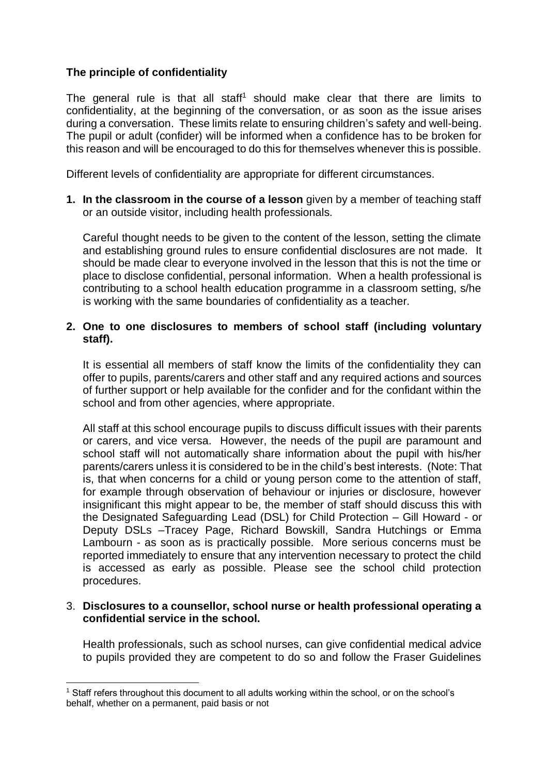### **The principle of confidentiality**

The general rule is that all staff<sup>1</sup> should make clear that there are limits to confidentiality, at the beginning of the conversation, or as soon as the issue arises during a conversation. These limits relate to ensuring children's safety and well-being. The pupil or adult (confider) will be informed when a confidence has to be broken for this reason and will be encouraged to do this for themselves whenever this is possible.

Different levels of confidentiality are appropriate for different circumstances.

**1. In the classroom in the course of a lesson** given by a member of teaching staff or an outside visitor, including health professionals.

Careful thought needs to be given to the content of the lesson, setting the climate and establishing ground rules to ensure confidential disclosures are not made. It should be made clear to everyone involved in the lesson that this is not the time or place to disclose confidential, personal information. When a health professional is contributing to a school health education programme in a classroom setting, s/he is working with the same boundaries of confidentiality as a teacher.

#### **2. One to one disclosures to members of school staff (including voluntary staff).**

It is essential all members of staff know the limits of the confidentiality they can offer to pupils, parents/carers and other staff and any required actions and sources of further support or help available for the confider and for the confidant within the school and from other agencies, where appropriate.

All staff at this school encourage pupils to discuss difficult issues with their parents or carers, and vice versa. However, the needs of the pupil are paramount and school staff will not automatically share information about the pupil with his/her parents/carers unless it is considered to be in the child's best interests. (Note: That is, that when concerns for a child or young person come to the attention of staff, for example through observation of behaviour or injuries or disclosure, however insignificant this might appear to be, the member of staff should discuss this with the Designated Safeguarding Lead (DSL) for Child Protection – Gill Howard - or Deputy DSLs –Tracey Page, Richard Bowskill, Sandra Hutchings or Emma Lambourn - as soon as is practically possible. More serious concerns must be reported immediately to ensure that any intervention necessary to protect the child is accessed as early as possible. Please see the school child protection procedures.

#### 3. **Disclosures to a counsellor, school nurse or health professional operating a confidential service in the school.**

Health professionals, such as school nurses, can give confidential medical advice to pupils provided they are competent to do so and follow the Fraser Guidelines

<u>.</u>

<sup>1</sup> Staff refers throughout this document to all adults working within the school, or on the school's behalf, whether on a permanent, paid basis or not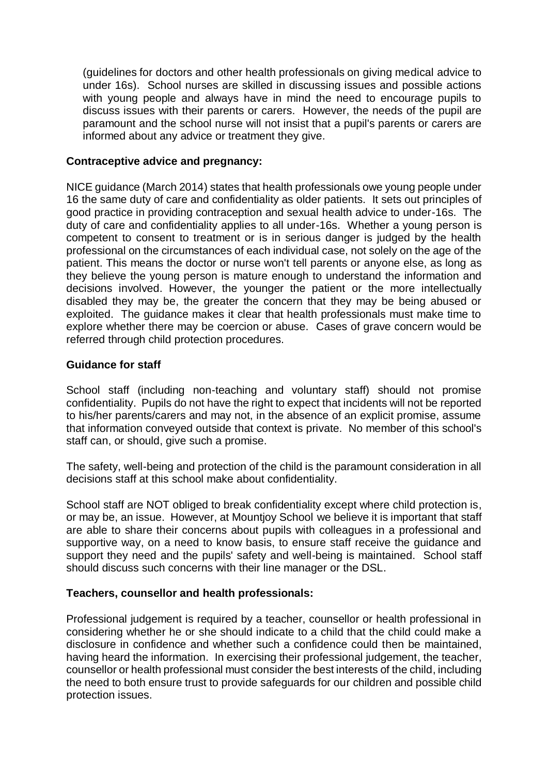(guidelines for doctors and other health professionals on giving medical advice to under 16s). School nurses are skilled in discussing issues and possible actions with young people and always have in mind the need to encourage pupils to discuss issues with their parents or carers. However, the needs of the pupil are paramount and the school nurse will not insist that a pupil's parents or carers are informed about any advice or treatment they give.

#### **Contraceptive advice and pregnancy:**

NICE guidance (March 2014) states that health professionals owe young people under 16 the same duty of care and confidentiality as older patients. It sets out principles of good practice in providing contraception and sexual health advice to under-16s. The duty of care and confidentiality applies to all under-16s. Whether a young person is competent to consent to treatment or is in serious danger is judged by the health professional on the circumstances of each individual case, not solely on the age of the patient. This means the doctor or nurse won't tell parents or anyone else, as long as they believe the young person is mature enough to understand the information and decisions involved. However, the younger the patient or the more intellectually disabled they may be, the greater the concern that they may be being abused or exploited. The guidance makes it clear that health professionals must make time to explore whether there may be coercion or abuse. Cases of grave concern would be referred through child protection procedures.

#### **Guidance for staff**

School staff (including non-teaching and voluntary staff) should not promise confidentiality. Pupils do not have the right to expect that incidents will not be reported to his/her parents/carers and may not, in the absence of an explicit promise, assume that information conveyed outside that context is private. No member of this school's staff can, or should, give such a promise.

The safety, well-being and protection of the child is the paramount consideration in all decisions staff at this school make about confidentiality.

School staff are NOT obliged to break confidentiality except where child protection is, or may be, an issue. However, at Mountjoy School we believe it is important that staff are able to share their concerns about pupils with colleagues in a professional and supportive way, on a need to know basis, to ensure staff receive the guidance and support they need and the pupils' safety and well-being is maintained. School staff should discuss such concerns with their line manager or the DSL.

## **Teachers, counsellor and health professionals:**

Professional judgement is required by a teacher, counsellor or health professional in considering whether he or she should indicate to a child that the child could make a disclosure in confidence and whether such a confidence could then be maintained, having heard the information. In exercising their professional judgement, the teacher, counsellor or health professional must consider the best interests of the child, including the need to both ensure trust to provide safeguards for our children and possible child protection issues.